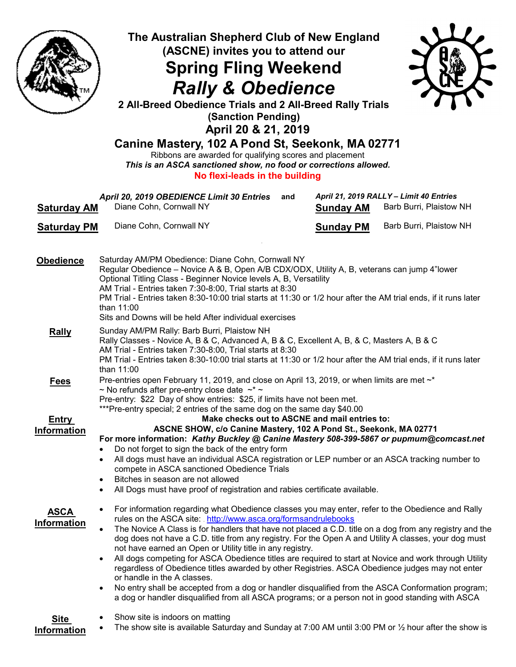

## The Australian Shepherd Club of New England (ASCNE) invites you to attend our Spring Fling Weekend

## Rally & Obedience



2 All-Breed Obedience Trials and 2 All-Breed Rally Trials (Sanction Pending) April 20 & 21, 2019

## Canine Mastery, 102 A Pond St, Seekonk, MA 02771

Ribbons are awarded for qualifying scores and placement This is an ASCA sanctioned show, no food or corrections allowed. No flexi-leads in the building

| <b>Saturday AM</b>                | April 20, 2019 OBEDIENCE Limit 30 Entries<br>Diane Cohn, Cornwall NY                                                                                                                                                                                                                                                                                                                                                                                                                                                                                                                                                                                                                                                                                                                                                                                                                                                             | and                                                                                     | <b>Sunday AM</b> | April 21, 2019 RALLY - Limit 40 Entries<br>Barb Burri, Plaistow NH |  |
|-----------------------------------|----------------------------------------------------------------------------------------------------------------------------------------------------------------------------------------------------------------------------------------------------------------------------------------------------------------------------------------------------------------------------------------------------------------------------------------------------------------------------------------------------------------------------------------------------------------------------------------------------------------------------------------------------------------------------------------------------------------------------------------------------------------------------------------------------------------------------------------------------------------------------------------------------------------------------------|-----------------------------------------------------------------------------------------|------------------|--------------------------------------------------------------------|--|
| <b>Saturday PM</b>                | Diane Cohn, Cornwall NY                                                                                                                                                                                                                                                                                                                                                                                                                                                                                                                                                                                                                                                                                                                                                                                                                                                                                                          |                                                                                         | <b>Sunday PM</b> | Barb Burri, Plaistow NH                                            |  |
|                                   |                                                                                                                                                                                                                                                                                                                                                                                                                                                                                                                                                                                                                                                                                                                                                                                                                                                                                                                                  |                                                                                         |                  |                                                                    |  |
| <b>Obedience</b>                  | Saturday AM/PM Obedience: Diane Cohn, Cornwall NY<br>Regular Obedience - Novice A & B, Open A/B CDX/ODX, Utility A, B, veterans can jump 4"lower<br>Optional Titling Class - Beginner Novice levels A, B, Versatility<br>AM Trial - Entries taken 7:30-8:00, Trial starts at 8:30<br>PM Trial - Entries taken 8:30-10:00 trial starts at 11:30 or 1/2 hour after the AM trial ends, if it runs later<br>than 11:00<br>Sits and Downs will be held After individual exercises                                                                                                                                                                                                                                                                                                                                                                                                                                                     |                                                                                         |                  |                                                                    |  |
| <b>Rally</b>                      | Sunday AM/PM Rally: Barb Burri, Plaistow NH<br>Rally Classes - Novice A, B & C, Advanced A, B & C, Excellent A, B, & C, Masters A, B & C<br>AM Trial - Entries taken 7:30-8:00, Trial starts at 8:30<br>PM Trial - Entries taken 8:30-10:00 trial starts at 11:30 or 1/2 hour after the AM trial ends, if it runs later<br>than 11:00                                                                                                                                                                                                                                                                                                                                                                                                                                                                                                                                                                                            |                                                                                         |                  |                                                                    |  |
| <b>Fees</b>                       | Pre-entries open February 11, 2019, and close on April 13, 2019, or when limits are met $\sim^*$<br>~ No refunds after pre-entry close date $\sim^*$<br>Pre-entry: \$22 Day of show entries: \$25, if limits have not been met.<br>***Pre-entry special; 2 entries of the same dog on the same day \$40.00                                                                                                                                                                                                                                                                                                                                                                                                                                                                                                                                                                                                                       |                                                                                         |                  |                                                                    |  |
| <b>Entry</b><br>Information       | Make checks out to ASCNE and mail entries to:<br>ASCNE SHOW, c/o Canine Mastery, 102 A Pond St., Seekonk, MA 02771                                                                                                                                                                                                                                                                                                                                                                                                                                                                                                                                                                                                                                                                                                                                                                                                               |                                                                                         |                  |                                                                    |  |
|                                   |                                                                                                                                                                                                                                                                                                                                                                                                                                                                                                                                                                                                                                                                                                                                                                                                                                                                                                                                  | For more information: Kathy Buckley @ Canine Mastery 508-399-5867 or pupmum@comcast.net |                  |                                                                    |  |
|                                   | Do not forget to sign the back of the entry form<br>$\bullet$<br>All dogs must have an individual ASCA registration or LEP number or an ASCA tracking number to<br>$\bullet$<br>compete in ASCA sanctioned Obedience Trials<br>Bitches in season are not allowed<br>$\bullet$<br>All Dogs must have proof of registration and rabies certificate available.                                                                                                                                                                                                                                                                                                                                                                                                                                                                                                                                                                      |                                                                                         |                  |                                                                    |  |
| <b>ASCA</b><br><b>Information</b> | For information regarding what Obedience classes you may enter, refer to the Obedience and Rally<br>$\bullet$<br>rules on the ASCA site: http://www.asca.org/formsandrulebooks<br>The Novice A Class is for handlers that have not placed a C.D. title on a dog from any registry and the<br>$\bullet$<br>dog does not have a C.D. title from any registry. For the Open A and Utility A classes, your dog must<br>not have earned an Open or Utility title in any registry.<br>All dogs competing for ASCA Obedience titles are required to start at Novice and work through Utility<br>regardless of Obedience titles awarded by other Registries. ASCA Obedience judges may not enter<br>or handle in the A classes.<br>No entry shall be accepted from a dog or handler disqualified from the ASCA Conformation program;<br>a dog or handler disqualified from all ASCA programs; or a person not in good standing with ASCA |                                                                                         |                  |                                                                    |  |
| <b>Site</b><br>Information        | Show site is indoors on matting<br>The show site is available Saturday and Sunday at 7:00 AM until 3:00 PM or $\frac{1}{2}$ hour after the show is                                                                                                                                                                                                                                                                                                                                                                                                                                                                                                                                                                                                                                                                                                                                                                               |                                                                                         |                  |                                                                    |  |